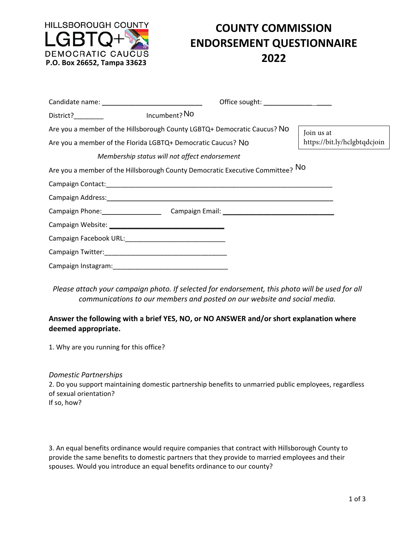

## **COUNTY COMMISSION ENDORSEMENT QUESTIONNAIRE**

|                                                                                                                                          |                                                                                | Office sought: ___________________ |                                            |
|------------------------------------------------------------------------------------------------------------------------------------------|--------------------------------------------------------------------------------|------------------------------------|--------------------------------------------|
| District? District                                                                                                                       | Incumbent? No                                                                  |                                    |                                            |
| Are you a member of the Hillsborough County LGBTQ+ Democratic Caucus? NO<br>Are you a member of the Florida LGBTQ+ Democratic Caucus? No |                                                                                |                                    | Join us at<br>https://bit.ly/hclgbtqdcjoin |
|                                                                                                                                          | Membership status will not affect endorsement                                  |                                    |                                            |
|                                                                                                                                          | Are you a member of the Hillsborough County Democratic Executive Committee? NO |                                    |                                            |
|                                                                                                                                          |                                                                                |                                    |                                            |
|                                                                                                                                          |                                                                                |                                    |                                            |
|                                                                                                                                          | Campaign Phone: Campaign Email: Campaign Email: Campaign Email:                |                                    |                                            |
|                                                                                                                                          |                                                                                |                                    |                                            |
|                                                                                                                                          |                                                                                |                                    |                                            |
|                                                                                                                                          |                                                                                |                                    |                                            |
|                                                                                                                                          |                                                                                |                                    |                                            |

*Please attach your campaign photo. If selected for endorsement, this photo will be used for all communications to our members and posted on our website and social media.* 

## **Answer the following with a brief YES, NO, or NO ANSWER and/or short explanation where deemed appropriate.**

1. Why are you running for this office?

## *Domestic Partnerships*

2. Do you support maintaining domestic partnership benefits to unmarried public employees, regardless of sexual orientation? If so, how?

3. An equal benefits ordinance would require companies that contract with Hillsborough County to provide the same benefits to domestic partners that they provide to married employees and their spouses. Would you introduce an equal benefits ordinance to our county?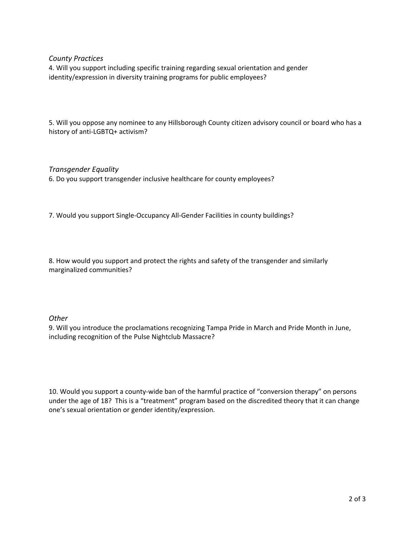*County Practices* 

4. Will you support including specific training regarding sexual orientation and gender identity/expression in diversity training programs for public employees?

5. Will you oppose any nominee to any Hillsborough County citizen advisory council or board who has a history of anti‐LGBTQ+ activism?

*Transgender Equality*  6. Do you support transgender inclusive healthcare for county employees?

7. Would you support Single‐Occupancy All‐Gender Facilities in county buildings?

8. How would you support and protect the rights and safety of the transgender and similarly marginalized communities?

*Other* 

9. Will you introduce the proclamations recognizing Tampa Pride in March and Pride Month in June, including recognition of the Pulse Nightclub Massacre?

10. Would you support a county-wide ban of the harmful practice of "conversion therapy" on persons under the age of 18? This is a "treatment" program based on the discredited theory that it can change one's sexual orientation or gender identity/expression.